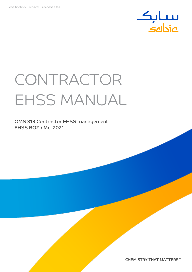

# CONTRACTOR EHSS MANUAL

OMS 313 Contractor EHSS management EHSS BOZ \ Mei 2021

**CHEMISTRY THAT MATTERS™**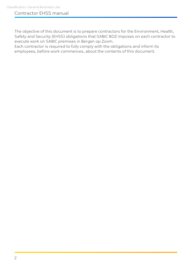The objective of this document is to prepare contractors for the Environment, Health, Safety and Security (EHSS) obligations that SABIC BOZ imposes on each contractor to execute work on SABIC premises in Bergen op Zoom.

Each contractor is required to fully comply with the obligations and inform its employees, before work commences, about the contents of this document.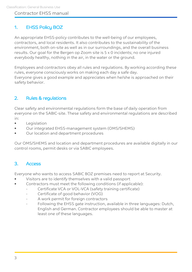## 1. EHSS Policy BOZ

An appropriate EHSS-policy contributes to the well-being of our employees, contractors, and local residents. It also contributes to the sustainability of the environment, both on-site as well as in our surroundings, and the overall business results. Our goal for the Bergen op Zoom site is 5 x 0 incidents; no one injured everybody healthy, nothing in the air, in the water or the ground.

Employees and contractors obey all rules and regulations. By working according these rules, everyone consciously works on making each day a safe day. Everyone gives a good example and appreciates when he/she is approached on their safety behavior.

## 2. Rules & regulations

Clear safety and environmental regulations form the base of daily operation from everyone on the SABIC-site. These safety and environmental regulations are described in:

- **Legislation**
- Our integrated EHSS-management system (OMS/SHEMS)
- Our location and department procedures

Our OMS/SHEMS and location and department procedures are available digitally in our control rooms, permit desks or via SABIC employees.

## 3. Access

Everyone who wants to access SABIC BOZ premises need to report at Security.

- Visitors are to identify themselves with a valid passport
- Contractors must meet the following conditions (if applicable):
	- Certificate VCA or VOL-VCA (safety training certificate)
	- Certificate of good behavior (VOG)
	- A work permit for foreign contractors
	- Following the EHSS gate instruction, available in three languages: Dutch, English and German. Contractor employees should be able to master at least one of these languages.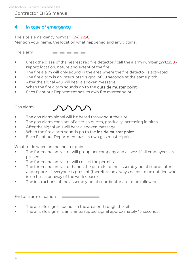## 4. In case of emergency

The site's emergency number: (29) 2250 Mention your name, the location what happened and any victims.

Fire alarm

- Break the glass of the nearest red fire detector / call the alarm number (29)2250 / report: location, nature and extent of the fire.
- The fire alarm will only sound in the area where the fire detector is activated
- The fire alarm is an interrupted signal of 30 seconds at the same pitch
- After the signal you will hear a spoken message
- When the fire alarm sounds go to the outside muster point
- Each Plant our Department has its own fire muster point

#### Gas alarm



- The gas alarm signal will be heard throughout the site
- The gas alarm consists of a series bursts, gradually increasing in pitch
- After the signal you will hear a spoken message
- When the fire alarm sounds go to the inside muster point
- Each Plant our Department has its own gas muster point

What to do when on the muster point:

- The foreman/contractor will group per company and assess if all employees are present
- The foreman/contractor will collect the permits
- The foreman/contractor hands the permits to the assembly point coordinator and reports if everyone is present (therefore he always needs to be notified who is on break or away of the work space)
- The instructions of the assembly point coordinator are to be followed.

- The all safe signal sounds in the area or through the site
- The all safe signal is an uninterrupted signal approximately 15 seconds.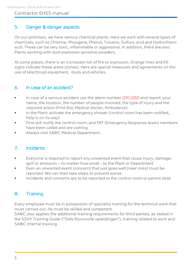## 5. Danger & danger aspects

On our premises, we have various chemical plants. Here we work with several types of chemicals, such as Chlorine, Phosgene, Phenol, Toluene, Sulfuric acid and Hydrochloric acid. These can be very toxic, inflammable or aggressive. In addition, there are also Plants working with dust explosion sensitive powders.

At some places, there is an increased risk of fire or explosion. Orange lines and EXsigns indicate these areas (zones). Here are special measures and agreements on the use of (electrical) equipment, -tools and vehicles.

## 6. In case of an accident?

- In case of a serious accident use the alarm number (29) 2250 and report: your name, the location, the number of people involved, the type of injury and the required action (First Aid, Medical doctor, Ambulance)
- In the Plant: activate the emergency shower (control room has been notified, help is on its way)
- First aid: notify the control room; and ERT (Emergency Response team) members have been called and are coming
- Always visit SABIC Medical Department.

## 7. Incidents

- Everyone is required to report any unwanted event that cause injury, damage, spill or emission – no matter how small – to the Plant or Department
- Even an unwanted event (concern) that just goes well (near miss) must be reported. We can then take steps to prevent worse.
- Incidents and concerns are to be reported to the control room or permit desk

## 8. Training

Every employee must be in possession of specialist training for the technical work that must carried out. He must be skilled and competent.

SABIC also applies the additional training requirements for third parties, as stated in the SSVV Training Guide ("Gids Risicovolle opleidingen"), training related to work and SABIC internal training.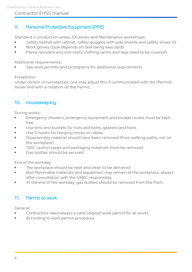## 9. Personal Protective Equipment (PPE)

Standard in production-areas, EX-zones and Maintenance workshops:

- Safety helmet with ratchet, safety goggles with side shields and safety shoes S3
- Work gloves (type depends on task being executed)
- Flame resistant and anti-static clothing (arms and legs need to be covered)

#### Additional requirements;

See work permits and pictograms for additional requirements

#### Exceptions:

Under certain circumstances, one may adjust this if communicated with the (Permit) Issuer and with a notation on the Permit.

## 10. Housekeeping

During works:

- Emergency showers, emergency equipment and escape routes must be kept free
- Use bins and buckets for nuts and bolts, gaskets and tools
- Use S-hooks for hanging hoses or cables
- Disassembly material should have been removed (from walking paths, not on the workplace)
- 'Old' caution tapes and packaging materials must be removed
- Gas bottles should be secured

End of the workday:

- The workplace should be neat and clean to be delivered
- Non-flammable materials and equipment may remain at the workplace, always after consultation with the SABIC-responsible.
- At the end of the workday, gas bottles should be removed from the Plant.

## 11. Permit to work

General:

- Contractors need always a valid (digital) work permit for all works
- According to work permit procedure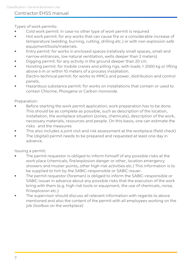Types of work permits:

- Cold work permit: in case no other type of work permit is required
- Hot work permit: for any works that can cause fire or a considerable increase of temperature (welding, burning, cutting, drilling etc.) or with non-explosion safe equipment/tools/materials.
- Entry permit: for works in enclosed spaces (relatively small spaces, small and narrow entrances, low natural ventilation, wells deeper than 2 meters)
- Digging permit: for any activity in the ground deeper than 20 cm.
- Hoisting permit: for mobile cranes and pilling rigs, with loads > 2000 kg or lifting above 6 m or within 10 meters of a process installation.
- Electro-technical permit: for works to MMCs and power, distribution and control panels.
- Hazardous substance permit: for works on installations that contain or used to contain Chlorine, Phosgene or Carbon monoxide.

Preparation:

- Before starting the work permit application, work preparation has to be done. This should be as complete as possible, such as description of the location, installation, the workplace situation (zones, chemicals), description of the work, necessary materials, resources and people. On this basis, one can estimate the risks and the measures
- This also includes a joint visit and risk assessment at the workplace (field check)
- The (digital) permit needs to be prepared and requested at least one day in advance.

Issuing a permit:

- The permit requestor is obliged to inform himself of any possible risks at the work place (chemicals, fire/explosion danger or other, location emergency showers and muster points, other high-risk activities etc.) This information is to be supplied to him by the SABIC–responsible or SABIC-issuer.
- The permit requestor (foreman) is obliged to inform the SABIC–responsible or SABIC-issuer in advance about any possible risks that the execution of the work bring with them (e.g. high risk tools or equipment, the use of chemicals, noise, fir/explosion etc.)
- The supervisor should discuss all relevant information with regards to above mentioned and also the content of the permit with all employees working on the job (toolbox on the workplace)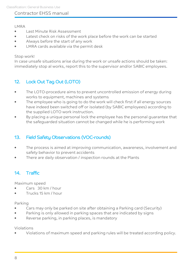#### LMRA

- Last Minute Risk Assessment
- Latest check on risks of the work place before the work can be started
- Always before the start of any work
- LMRA cards available via the permit desk

#### Stop work!

In case unsafe situations arise during the work or unsafe actions should be taken: immediately stop al works, report this to the supervisor and/or SABIC employees.

## 12. Lock Out Tag Out (LOTO)

- The LOTO-procedure aims to prevent uncontrolled emission of energy during works to equipment, machines and systems
- The employee who is going to do the work will check first if all energy sources have indeed been switched off or isolated (by SABIC employees) according to the supplied LOTO work instruction.
- By placing a unique personal lock the employee has the personal guarantee that the safeguarded situation cannot be changed while he is performing work

## 13. Field Safety Observations (VOC-rounds)

- The process is aimed at improving communication, awareness, involvement and safety behavior to prevent accidents
- There are daily observation / inspection rounds at the Plants

## 14. Traffic

Maximum speed

- Cars 30 km / hour
- Trucks 15 km / hour

#### Parking

- Cars may only be parked on site after obtaining a Parking card (Security)
- Parking is only allowed in parking spaces that are indicated by signs
- Reverse parking, in parking places, is mandatory

#### Violations

• Violations of maximum speed and parking rules will be treated according policy.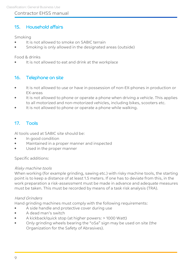## 15. Household affairs

#### Smoking

- It is not allowed to smoke on SABIC terrain
- Smoking is only allowed in the designated areas (outside)

Food & drinks

It is not allowed to eat and drink at the workplace

## 16. Telephone on site

- It is not allowed to use or have in possession of non-EX-phones in production or EX-areas
- It is not allowed to phone or operate a phone when driving a vehicle. This applies to all motorized and non-motorized vehicles, including bikes, scooters etc.
- It is not allowed to phone or operate a phone while walking.

## 17. Tools

Al tools used at SABIC site should be:

- In good condition
- Maintained in a proper manner and inspected
- Used in the proper manner

#### Specific additions:

#### Risky machine tools

When working (for example grinding, sawing etc.) with risky machine tools, the starting point is to keep a distance of at least 1.5 meters. If one has to deviate from this, in the work preparation a risk-assessment must be made in advance and adequate measures must be taken. This must be recorded by means of a task risk analysis (TRA).

#### Hand Grinders

Hand grinding machines must comply with the following requirements:

- A side handle and protective cover during use
- A dead man's switch
- A kickback/quick stop (at higher powers: > 1000 Watt)
- Only grinding wheels bearing the "oSa" sign may be used on site (the Organization for the Safety of Abrasives).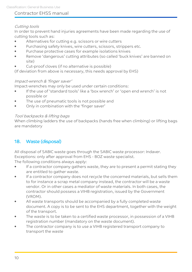#### Cutting tools

In order to prevent hand injuries agreements have been made regarding the use of cutting tools such as:

- Alternatives for cutting e.g. scissors or wire cutters
- Purchasing safety knives, wire cutters, scissors, strippers etc.
- Purchase protective cases for example isolations knives
- Remove 'dangerous' cutting attributes (so called 'buck knives' are banned on site)
- Cut-proof cloves (if no alternative is possible)

(If deviation from above is necessary, this needs approval by EHS)

#### Impact-wrench & 'finger saver'

Impact-wrenches may only be used under certain conditions:

- If the use of 'standard tools' like a 'box wrench' or 'open end wrench' is not possible or
- The use of pneumatic tools is not possible and
- Only in combination with the 'finger saver'

#### Tool backpacks & lifting bags

When climbing ladders the use of backpacks (hands free when climbing) or lifting bags are mandatory

## 18. Waste (disposal)

All disposal of SABIC waste goes through the SABIC waste processor: Indaver. Exceptions: only after approval from EHS - BOZ waste specialist.

The following conditions always apply:

- If a contractor company gathers waste, they are to present a permit stating they are entitled to gather waste.
- If a contractor company does not recycle the concerned materials, but sells them to for instance a scrap metal company instead, the contractor will be a waste vendor. Or in other cases a mediator of waste materials. In both cases, the contractor should possess a VIHB registration, issued by the Government (VROM).
- All waste transports should be accompanied by a fully completed waste document. A copy is to be sent to the EHS department, together with the weight of the transport.
- The waste is to be taken to a certified waste processor, in possession of a VIHB registration number (mandatory on the waste document).
- The contractor company is to use a VIHB registered transport company to transport the waste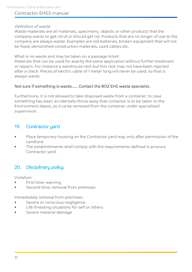#### Definition of waste:

Waste materials are all materials, specimens, objects or other products that the company wants to get rid of or should get rid. Products that are no longer of use to the company are always waste. Examples are old batteries, broken equipment that will not be fixed, demolished construction materials, used cables etc.

What is no waste and may be taken on a passage ticket:

Materials that can be used for exactly the same application without further treatment or repairs. For instance a warehouse rack but this rack may not have been rejected after a check. Pieces of electric cable of 1 meter long will never be used, so that is always waste.

#### Not sure if something is waste…… Contact the BOZ EHS waste specialist.

Furthermore, it is not allowed to take disposed waste from a container. In case something has been accidentally throw away that container is to be taken to the Environment depot, so it ca be removed from the container under specialized supervision.

## 19. Contractor yard

- Place temporary housing on the Contractor yard may only after permission of the Landlord.
- The establishments shall comply with the requirements defined in procure Contractor yard.

## 20. Disciplinary policy

Violation:

- First time: warning
- Second time: removal from premises

Immediately removal from premises:

- Severe or conscious negligence
- Life threating situations for self or others
- Severe material damage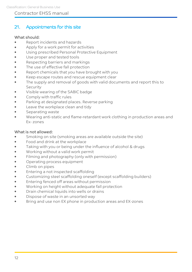## 21. Appointments for this site

#### What should:

- Report incidents and hazards
- Apply for a work permit for activities
- Using prescribed Personal Protective Equipment
- Use proper and tested tools
- Respecting barriers and markings
- The use of effective fall protection
- Report chemicals that you have brought with you
- Keep escape routes and rescue equipment clear
- The supply and removal of goods with valid documents and report this to Security
- Visible wearing of the SABIC badge
- Comply with traffic rules
- Parking at designated places. Reverse parking
- Leave the workplace clean and tidy
- Separating waste
- Wearing anti-static and flame-retardant work clothing in production areas and Ex- zones

#### What is not allowed:

- Smoking on site (smoking areas are available outside the site)
- Food and drink at the workplace
- Taking with you or being under the influence of alcohol & drugs
- Working without a valid work permit
- Filming and photography (only with permission)
- Operating process equipment
- Climb on pipes
- Entering a not inspected scaffolding
- Customizing steel scaffolding oneself (except scaffolding builders)
- Entering fenced off areas without permission
- Working on height without adequate fall protection
- Drain chemical liquids into wells or drains
- Dispose of waste in an unsorted way
- Bring and use non EX phone in production areas and EX-zones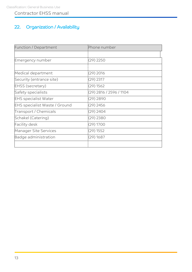# 22. Organization / Availability

| Function / Department                | Phone number            |  |
|--------------------------------------|-------------------------|--|
|                                      |                         |  |
| Emergency number                     | $(29)$ 2250             |  |
|                                      |                         |  |
| Medical department                   | $(29)$ 2016             |  |
| Security (entrance site)             | $(29)$ 2317             |  |
| <b>EHSS</b> (secretary)              | $(29)$ 1562             |  |
| Safety specialists                   | (29) 2816 / 2596 / 1104 |  |
| <b>EHS specialist Water</b>          | $(29)$ 2890             |  |
| <b>EHS specialist Waste / Ground</b> | $(29)$ 2456             |  |
| Transport / Chemicals                | $(29)$ 2404             |  |
| Schakel (Catering)                   | $(29)$ 2380             |  |
| <b>Facility desk</b>                 | $(29)$ 1700             |  |
| <b>Manager Site Services</b>         | $(29)$ 1552             |  |
| Badge administration                 | $(29)$ 1687             |  |
|                                      |                         |  |